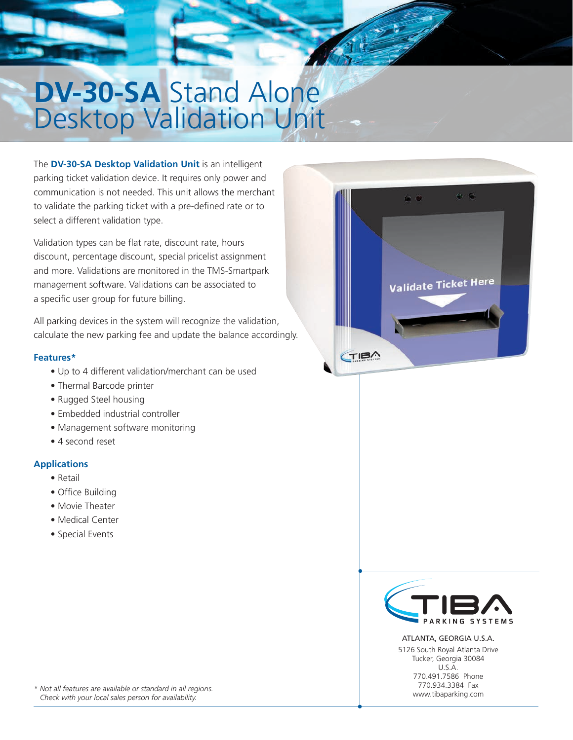# **DV-30-SA** Stand Alone Desktop Validation Unit

The **DV-30-SA Desktop Validation Unit** is an intelligent parking ticket validation device. It requires only power and communication is not needed. This unit allows the merchant to validate the parking ticket with a pre-defined rate or to select a different validation type.

Validation types can be flat rate, discount rate, hours discount, percentage discount, special pricelist assignment and more. Validations are monitored in the TMS-Smartpark management software. Validations can be associated to a specific user group for future billing.

All parking devices in the system will recognize the validation, calculate the new parking fee and update the balance accordingly.

#### **Features\***

- Up to 4 different validation/merchant can be used
- Thermal Barcode printer
- Rugged Steel housing
- Embedded industrial controller
- Management software monitoring
- 4 second reset

### **Applications**

- Retail
- Office Building
- Movie Theater
- Medical Center
- Special Events





ATLANTA, GEORGIA U.S.A. 5126 South Royal Atlanta Drive Tucker, Georgia 30084 U.S.A. 770.491.7586 Phone 770.934.3384 Fax www.tibaparking.com

*\* Not all features are available or standard in all regions. Check with your local sales person for availability.*